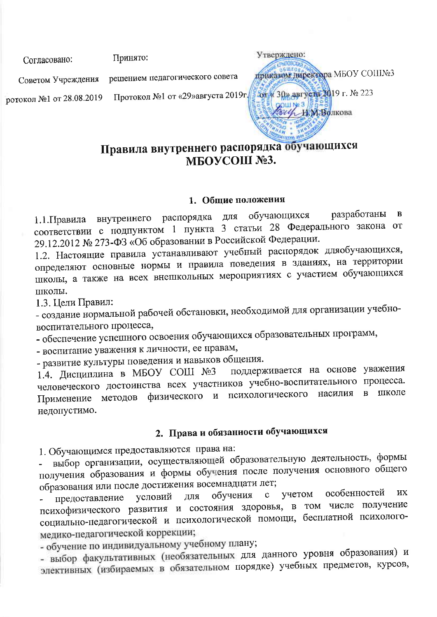Согласовано:

Принято:

решением педагогического совета Советом Учреждения

Протокол №1 от «29»августа 2019г. ротокол №1 от 28.08.2019



## Правила внутреннего распорядка обучающихся МБОУСОШ №3.

#### 1. Общие положения

разработаны распорядка для обучающихся  $\mathbf{B}$ внутреннего 1.1. Правила соответствии с подпунктом 1 пункта 3 статьи 28 Федерального закона от 29.12.2012 № 273-ФЗ «Об образовании в Российской Федерации.

1.2. Настоящие правила устанавливают учебный распорядок дляобучающихся, определяют основные нормы и правила поведения в зданиях, на территории школы, а также на всех внешкольных мероприятиях с участием обучающихся школы.

1.3. Цели Правил:

- создание нормальной рабочей обстановки, необходимой для организации учебновоспитательного процесса,

- обеспечение успешного освоения обучающихся образовательных программ,

- воспитание уважения к личности, ее правам,

- развитие культуры поведения и навыков общения.

поддерживается на основе уважения 1.4. Дисциплина в МБОУ СОШ №3 человеческого достоинства всех участников учебно-воспитательного процесса. школе  $\bf{B}$ Применение методов физического психологического насилия  $\mathbf{M}$ недопустимо.

## 2. Права и обязанности обучающихся

1. Обучающимся предоставляются права на:

выбор организации, осуществляющей образовательную деятельность, формы получения образования и формы обучения после получения основного общего образования или после достижения восемнадцати лет;

особенностей ИX учетом обучения  $\ddot{\rm c}$ условий ДЛЯ предоставление психофизического развития и состояния здоровья, в том числе получение социально-педагогической и психологической помощи, бесплатной психологомедико-педагогической коррекции;

- обучение по индивидуальному учебному плану;

- выбор факультативных (необязательных для данного уровня образования) и элективных (избираемых в обязательном порядке) учебных предметов, курсов,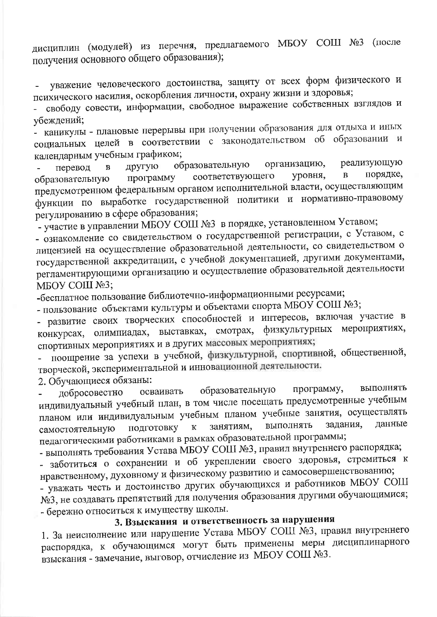дисциплин (модулей) из перечня, предлагаемого МБОУ СОШ №3 (после получения основного общего образования);

уважение человеческого достоинства, защиту от всех форм физического и психического насилия, оскорбления личности, охрану жизни и здоровья;

свободу совести, информации, свободное выражение собственных взглядов и убеждений;

- каникулы - плановые перерывы при получении образования для отдыха и иных социальных целей в соответствии с законодательством об образовании и календарным учебным графиком;

реализующую образовательную организацию, другую перевод  $\overline{B}$ порядке, соответствующего уровня,  $\overline{B}$ программу образовательную предусмотренном федеральным органом исполнительной власти, осуществляющим функции по выработке государственной политики и нормативно-правовому регулированию в сфере образования;

- участие в управлении МБОУ СОШ №3 в порядке, установленном Уставом;

- ознакомление со свидетельством о государственной регистрации, с Уставом, с лицензией на осуществление образовательной деятельности, со свидетельством о государственной аккредитации, с учебной документацией, другими документами, регламентирующими организацию и осуществление образовательной деятельности МБОУ СОШ №3;

-бесплатное пользование библиотечно-информационными ресурсами;

- пользование объектами культуры и объектами спорта МБОУ СОШ №3;

- развитие своих творческих способностей и интересов, включая участие в олимпиадах, выставках, смотрах, физкультурных мероприятиях, конкурсах, спортивных мероприятиях и в других массовых мероприятиях;

поощрение за успехи в учебной, физкультурной, спортивной, общественной, творческой, экспериментальной и инновационной деятельности.

2. Обучающиеся обязаны:

образовательную программу, выполнять добросовестно осваивать индивидуальный учебный план, в том числе посещать предусмотренные учебным планом или индивидуальным учебным планом учебные занятия, осуществлять задания, данные выполнять занятиям, подготовку  $\overline{\mathbf{K}}$ самостоятельную педагогическими работниками в рамках образовательной программы;

- выполнять требования Устава МБОУ СОШ №3, правил внутреннего распорядка;

- заботиться о сохранении и об укреплении своего здоровья, стремиться к нравственному, духовному и физическому развитию и самосовершенствованию;

- уважать честь и достоинство других обучающихся и работников МБОУ СОШ №3, не создавать препятствий для получения образования другими обучающимися; - бережно относиться к имуществу школы.

## 3. Взыскания и ответственность за нарушения

1. За неисполнение или нарушение Устава МБОУ СОШ №3, правил внутреннего распорядка, к обучающимся могут быть применены меры дисциплинарного взыскания - замечание, выговор, отчисление из МБОУ СОШ №3.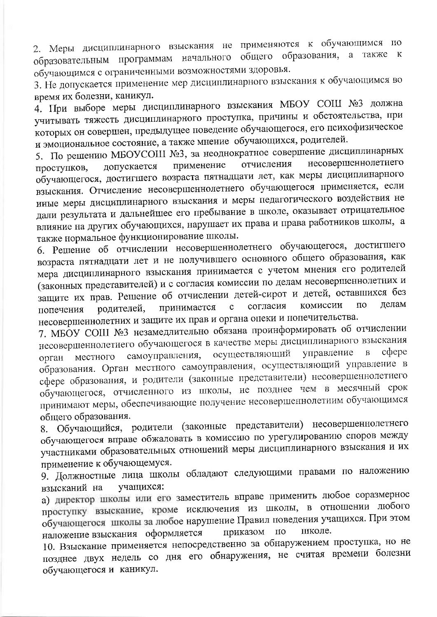2. Меры дисциплинарного взыскания не применяются к обучающимся по образовательным программам начального общего образования, а также к обучающимся с ограниченными возможностями здоровья.

3. Не допускается применение мер дисциплинарного взыскания к обучающимся во время их болезни, каникул.

4. При выборе меры дисциплинарного взыскания МБОУ СОШ №3 должна учитывать тяжесть дисциплинарного проступка, причины и обстоятельства, при которых он совершен, предыдущее поведение обучающегося, его психофизическое и эмоциональное состояние, а также мнение обучающихся, родителей.

5. По решению МБОУСОШ №3, за неоднократное совершение дисциплинарных несовершеннолетнего отчисления применение допускается проступков, обучающегося, достигшего возраста пятнадцати лет, как меры дисциплинарного взыскания. Отчисление несовершеннолетнего обучающегося применяется, если иные меры дисциплинарного взыскания и меры педагогического воздействия не дали результата и дальнейшее его пребывание в школе, оказывает отрицательное влияние на других обучающихся, нарушает их права и права работников школы, а также нормальное функционирование школы.

6. Решение об отчислении несовершеннолетнего обучающегося, достигшего возраста пятнадцати лет и не получившего основного общего образования, как мера дисциплинарного взыскания принимается с учетом мнения его родителей (законных представителей) и с согласия комиссии по делам несовершеннолетних и защите их прав. Решение об отчислении детей-сирот и детей, оставшихся без комиссии  $\overline{10}$ лелам согласия принимается  $\mathbf{C}$ родителей. попечения несовершеннолетних и защите их прав и органа опеки и попечительства.

7. МБОУ СОШ №3 незамедлительно обязана проинформировать об отчислении несовершеннолетнего обучающегося в качестве меры дисциплинарного взыскания управление  $\overline{B}$ cotepe осуществляющий самоуправления, местного орган образования. Орган местного самоуправления, осуществляющий управление в сфере образования, и родители (законные представители) несовершеннолетнего обучающегося, отчисленного из школы, не позднее чем в месячный срок принимают меры, обеспечивающие получение несовершеннолетним обучающимся общего образования.

8. Обучающийся, родители (законные представители) несовершеннолетнего обучающегося вправе обжаловать в комиссию по урегулированию споров между участниками образовательных отношений меры дисциплинарного взыскания и их применение к обучающемуся.

9. Должностные лица школы обладают следующими правами по наложению взысканий на учащихся:

а) директор школы или его заместитель вправе применить любое соразмерное проступку взыскание, кроме исключения из школы, в отношении любого обучающегося школы за любое нарушение Правил поведения учащихся. При этом наложение взыскания оформляется приказом школе.  $\Pi{\rm O}$ 

10. Взыскание применяется непосредственно за обнаружением проступка, но не позднее двух недель со дня его обнаружения, не считая времени болезни обучающегося и каникул.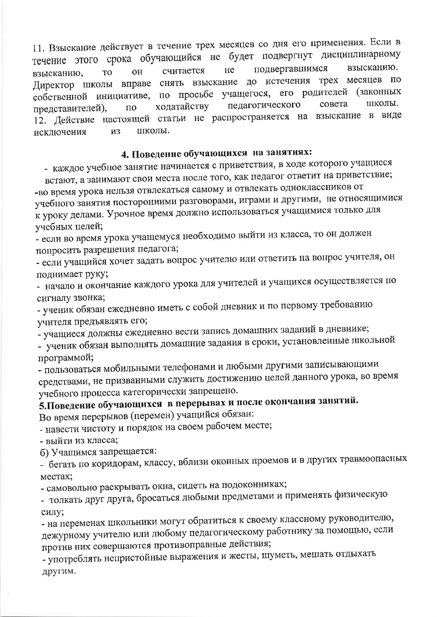11. Взыскание действует в течение трех месяцев со дня его применения. Если в течение этого срока обучающийся не будет подвергнут дисциплинарному подвергавшимся взысканию. He считается **TO OH** взысканию, Директор школы вправе снять взыскание до истечения трех месяцев по собственной инициативе, по просьбе учащегося, его родителей (законных николы. педагогического совета ходатайству представителей).  $\Pi$ <sup>O</sup> 12. Действие настоящей статьи не распространяется на взыскание в виде школы. исключения И3

### 4. Поведение обучающихся на занятиях:

- каждое учебное занятие начинается с приветствия, в ходе которого учащиеся встают, а занимают свои места после того, как педагог ответит на приветствие;

-во время урока нельзя отвлекаться самому и отвлекать одноклассников от учебного занятия посторонними разговорами, играми и другими, не относящимися к уроку делами. Урочное время должно использоваться учащимися только для учебных целей;

- если во время урока учащемуся необходимо выйти из класса, то он должен попросить разрешения педагога;

- если учащийся хочет задать вопрос учителю или ответить на вопрос учителя, он поднимает руку;

- начало и окончание каждого урока для учителей и учащихся осуществляется по сигналу звонка;

- ученик обязан ежедневно иметь с собой дневник и по первому требованию учителя предъявлять его;

- учащиеся должны ежедневно вести запись домашних заданий в дневнике;

- ученик обязан выполнять домашние задания в сроки, установленные школьной программой;

- пользоваться мобильными телефонами и любыми другими записывающими средствами, не призванными служить достижению целей данного урока, во время учебного процесса категорически запрещено.

# 5. Поведение обучающихся в перерывах и после окончания занятий. Во время перерывов (перемен) учащийся обязан:

- навести чистоту и порядок на своем рабочем месте;

- выйти из класса;

б) Учащимся запрещается:

- бегать по коридорам, классу, вблизи оконных проемов и в других травмоопасных местах;

- самовольно раскрывать окна, сидеть на подоконниках;

- толкать друг друга, бросаться любыми предметами и применять физическую силу;

- на переменах школьники могут обратиться к своему классному руководителю, дежурному учителю или любому педагогическому работнику за помощью, если против них совершаются противоправные действия;

- употреблять непристойные выражения и жесты, шуметь, мешать отдыхать другим.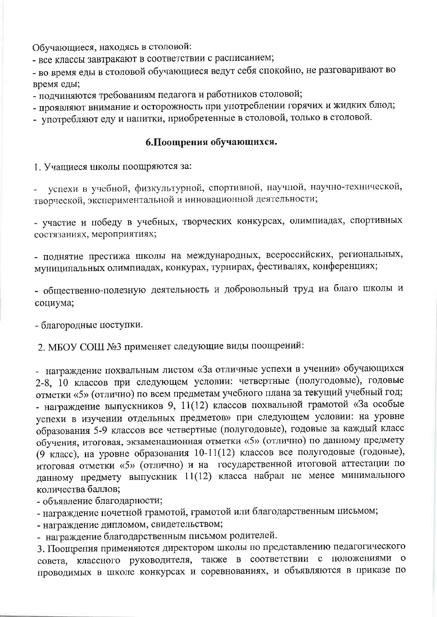Обучающиеся, находясь в столовой:

- все классы завтракают в соответствии с расписанием;

- во время еды в столовой обучающиеся ведут себя спокойно, не разговаривают во время еды;

- подчиняются требованиям педагога и работников столовой;

- проявляют внимание и осторожность при употреблении горячих и жидких блюд;

- употребляют еду и напитки, приобретенные в столовой, только в столовой.

### 6. Поощрения обучающихся.

1. Учащиеся школы поощряются за:

успехи в учебной, физкультурной, спортивной, научной, научно-технической, творческой, экспериментальной и инновационной деятельности;

- участие и победу в учебных, творческих конкурсах, олимпиадах, спортивных состязаниях, мероприятиях;

- поднятие престижа школы на международных, всероссийских, региональных, муниципальных олимпиадах, конкурах, турнирах, фестивалях, конференциях;

- общественно-полезную деятельность и добровольный труд на благо школы и социума;

- благородные поступки.

2. МБОУ СОШ №3 применяет следующие виды поощрений:

- награждение похвальным листом «За отличные успехи в учении» обучающихся 2-8, 10 классов при следующем условии: четвертные (полугодовые), годовые отметки «5» (отлично) по всем предметам учебного плана за текущий учебный год; - награждение выпускников 9, 11(12) классов похвальной грамотой «За особые успехи в изучении отдельных предметов» при следующем условии: на уровне образования 5-9 классов все четвертные (полугодовые), годовые за каждый класс обучения, итоговая, экзаменационная отметки «5» (отлично) по данному предмету (9 класс), на уровне образования 10-11(12) классов все полугодовые (годовые), итоговая отметки «5» (отлично) и на государственной итоговой аттестации по данному предмету выпускник 11(12) класса набрал не менее минимального количества баллов;

- объявление благодарности;

- награждение почетной грамотой, грамотой или благодарственным письмом;

- награждение дипломом, свидетельством;

- награждение благодарственным письмом родителей.

3. Поощрения применяются директором школы по представлению педагогического совета, классного руководителя, также в соответствии с положениями  $\mathbf{O}$ проводимых в школе конкурсах и соревнованиях, и объявляются в приказе по